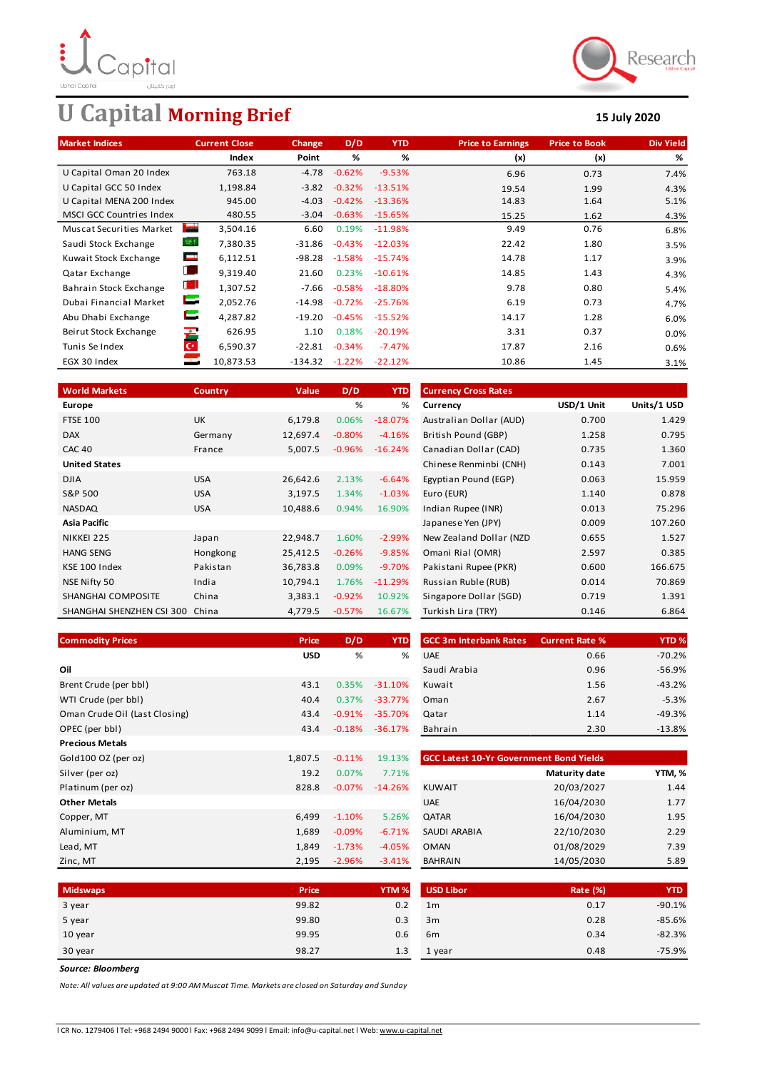

# **U Capital Morning Brief 15 July 2020**



| <b>Market Indices</b>           | <b>Current Close</b>       | Change    | D/D       | <b>YTD</b> | <b>Price to Earnings</b> | <b>Price to Book</b> | <b>Div Yield</b> |
|---------------------------------|----------------------------|-----------|-----------|------------|--------------------------|----------------------|------------------|
|                                 | Index                      | Point     | %         | %          | (x)                      | (x)                  | %                |
| U Capital Oman 20 Index         | 763.18                     | $-4.78$   | $-0.62%$  | $-9.53%$   | 6.96                     | 0.73                 | 7.4%             |
| U Capital GCC 50 Index          | 1,198.84                   | $-3.82$   | $-0.32%$  | $-13.51%$  | 19.54                    | 1.99                 | 4.3%             |
| U Capital MENA 200 Index        | 945.00                     | $-4.03$   | $-0.42%$  | $-13.36%$  | 14.83                    | 1.64                 | 5.1%             |
| <b>MSCI GCC Countries Index</b> | 480.55                     | $-3.04$   | $-0.63%$  | $-15.65%$  | 15.25                    | 1.62                 | 4.3%             |
| <b>Muscat Securities Market</b> | <b>Species</b><br>3,504.16 | 6.60      | 0.19%     | $-11.98%$  | 9.49                     | 0.76                 | 6.8%             |
| Saudi Stock Exchange            | 寄作<br>7,380.35             | $-31.86$  | $-0.43%$  | $-12.03%$  | 22.42                    | 1.80                 | 3.5%             |
| Kuwait Stock Exchange           | m<br>6,112.51              | $-98.28$  | $-1.58\%$ | $-15.74%$  | 14.78                    | 1.17                 | 3.9%             |
| Qatar Exchange                  | 9,319.40                   | 21.60     | 0.23%     | $-10.61%$  | 14.85                    | 1.43                 | 4.3%             |
| Bahrain Stock Exchange          | u<br>1,307.52              | $-7.66$   | $-0.58%$  | $-18.80\%$ | 9.78                     | 0.80                 | 5.4%             |
| Dubai Financial Market          | Н<br>2,052.76              | $-14.98$  | $-0.72%$  | $-25.76%$  | 6.19                     | 0.73                 | 4.7%             |
| Abu Dhabi Exchange              | E<br>4,287.82              | $-19.20$  | $-0.45\%$ | $-15.52\%$ | 14.17                    | 1.28                 | 6.0%             |
| Beirut Stock Exchange           | È<br>626.95                | 1.10      | 0.18%     | $-20.19%$  | 3.31                     | 0.37                 | 0.0%             |
| Tunis Se Index                  | $\mathbf{C}^*$<br>6,590.37 | $-22.81$  | $-0.34%$  | $-7.47%$   | 17.87                    | 2.16                 | 0.6%             |
| EGX 30 Index                    | $\mathcal{L}$<br>10,873.53 | $-134.32$ | $-1.22%$  | $-22.12%$  | 10.86                    | 1.45                 | 3.1%             |

| <b>World Markets</b>            | <b>Country</b> | Value    | D/D      | <b>YTD</b> | <b>Currency Cross Rates</b> |            |             |
|---------------------------------|----------------|----------|----------|------------|-----------------------------|------------|-------------|
| Europe                          |                |          | %        | %          | Currency                    | USD/1 Unit | Units/1 USD |
| <b>FTSE 100</b>                 | <b>UK</b>      | 6,179.8  | 0.06%    | $-18.07%$  | Australian Dollar (AUD)     | 0.700      | 1.429       |
| <b>DAX</b>                      | Germany        | 12,697.4 | $-0.80%$ | $-4.16%$   | British Pound (GBP)         | 1.258      | 0.795       |
| <b>CAC 40</b>                   | France         | 5,007.5  | $-0.96%$ | $-16.24%$  | Canadian Dollar (CAD)       | 0.735      | 1.360       |
| <b>United States</b>            |                |          |          |            | Chinese Renminbi (CNH)      | 0.143      | 7.001       |
| <b>DJIA</b>                     | <b>USA</b>     | 26,642.6 | 2.13%    | $-6.64%$   | Egyptian Pound (EGP)        | 0.063      | 15.959      |
| S&P 500                         | <b>USA</b>     | 3,197.5  | 1.34%    | $-1.03%$   | Euro (EUR)                  | 1.140      | 0.878       |
| <b>NASDAQ</b>                   | <b>USA</b>     | 10,488.6 | 0.94%    | 16.90%     | Indian Rupee (INR)          | 0.013      | 75.296      |
| <b>Asia Pacific</b>             |                |          |          |            | Japanese Yen (JPY)          | 0.009      | 107.260     |
| NIKKEI 225                      | Japan          | 22,948.7 | 1.60%    | $-2.99%$   | New Zealand Dollar (NZD)    | 0.655      | 1.527       |
| <b>HANG SENG</b>                | Hongkong       | 25,412.5 | $-0.26%$ | $-9.85%$   | Omani Rial (OMR)            | 2.597      | 0.385       |
| KSE 100 Index                   | Pakistan       | 36,783.8 | 0.09%    | $-9.70%$   | Pakistani Rupee (PKR)       | 0.600      | 166.675     |
| NSE Nifty 50                    | India          | 10,794.1 | 1.76%    | $-11.29%$  | Russian Ruble (RUB)         | 0.014      | 70.869      |
| SHANGHAI COMPOSITE              | China          | 3,383.1  | $-0.92%$ | 10.92%     | Singapore Dollar (SGD)      | 0.719      | 1.391       |
| SHANGHAI SHENZHEN CSI 300 China |                | 4,779.5  | $-0.57%$ | 16.67%     | Turkish Lira (TRY)          | 0.146      | 6.864       |

| <b>Commodity Prices</b>       | <b>Price</b> | D/D       | <b>YTD</b> | <b>GCC 3m Interbank Rates</b>                  | <b>Current Rate %</b> | YTD <sub>%</sub> |
|-------------------------------|--------------|-----------|------------|------------------------------------------------|-----------------------|------------------|
|                               | <b>USD</b>   | %         | %          | <b>UAE</b>                                     | 0.66                  | $-70.2%$         |
| Oil                           |              |           |            | Saudi Arabia                                   | 0.96                  | $-56.9%$         |
| Brent Crude (per bbl)         | 43.1         | 0.35%     | $-31.10%$  | Kuwait                                         | 1.56                  | $-43.2%$         |
| WTI Crude (per bbl)           | 40.4         | 0.37%     | $-33.77%$  | Oman                                           | 2.67                  | $-5.3%$          |
| Oman Crude Oil (Last Closing) | 43.4         | $-0.91\%$ | $-35.70%$  | Qatar                                          | 1.14                  | $-49.3%$         |
| OPEC (per bbl)                | 43.4         | $-0.18%$  | $-36.17%$  | Bahrain                                        | 2.30                  | $-13.8%$         |
| <b>Precious Metals</b>        |              |           |            |                                                |                       |                  |
| Gold100 OZ (per oz)           | 1,807.5      | $-0.11%$  | 19.13%     | <b>GCC Latest 10-Yr Government Bond Yields</b> |                       |                  |
| Silver (per oz)               | 19.2         | 0.07%     | 7.71%      |                                                | Maturity date         | YTM, %           |
| Platinum (per oz)             | 828.8        | $-0.07%$  | $-14.26%$  | <b>KUWAIT</b>                                  | 20/03/2027            | 1.44             |
| <b>Other Metals</b>           |              |           |            | <b>UAE</b>                                     | 16/04/2030            | 1.77             |
| Copper, MT                    | 6,499        | $-1.10%$  | 5.26%      | QATAR                                          | 16/04/2030            | 1.95             |
| Aluminium, MT                 | 1,689        | $-0.09%$  | $-6.71%$   | <b>SAUDI ARABIA</b>                            | 22/10/2030            | 2.29             |
| Lead, MT                      | 1,849        | $-1.73%$  | $-4.05%$   | <b>OMAN</b>                                    | 01/08/2029            | 7.39             |
| Zinc, MT                      | 2,195        | $-2.96%$  | $-3.41%$   | <b>BAHRAIN</b>                                 | 14/05/2030            | 5.89             |

| 'rice | D/D      | <b>YTD</b> | <b>GCC 3m Interbank Rates</b> | <b>Current Rate %</b> | <b>YTD %</b> |
|-------|----------|------------|-------------------------------|-----------------------|--------------|
| USD   | %        | %          | <b>UAE</b>                    | 0.66                  | $-70.2%$     |
|       |          |            | Saudi Arabia                  | 0.96                  | $-56.9%$     |
| 43.1  | 0.35%    | $-31.10%$  | Kuwait                        | 1.56                  | $-43.2%$     |
| 40.4  | 0.37%    | $-33.77%$  | Oman                          | 2.67                  | $-5.3%$      |
| 43.4  | $-0.91%$ | $-35.70%$  | Qatar                         | 1.14                  | $-49.3%$     |
| 43.4  | $-0.18%$ | $-36.17%$  | Bahrain                       | 2.30                  | $-13.8%$     |

| <b>GCC Latest 10-Yr Government Bond Yields</b> |                      |        |  |  |  |  |
|------------------------------------------------|----------------------|--------|--|--|--|--|
|                                                | <b>Maturity date</b> | YTM, % |  |  |  |  |
| <b>KUWAIT</b>                                  | 20/03/2027           | 1.44   |  |  |  |  |
| <b>UAE</b>                                     | 16/04/2030           | 1.77   |  |  |  |  |
| <b>QATAR</b>                                   | 16/04/2030           | 1.95   |  |  |  |  |
| SAUDI ARABIA                                   | 22/10/2030           | 2.29   |  |  |  |  |
| <b>OMAN</b>                                    | 01/08/2029           | 7.39   |  |  |  |  |
| <b>BAHRAIN</b>                                 | 14/05/2030           | 5.89   |  |  |  |  |

| <b>Midswaps</b> | Price | YTM <sub>%</sub> | <b>USD Libor</b> | <b>Rate (%)</b> | <b>YTD</b> |
|-----------------|-------|------------------|------------------|-----------------|------------|
| 3 year          | 99.82 | 0.2              | 1 <sub>m</sub>   | 0.17            | $-90.1%$   |
| 5 year          | 99.80 | 0.3              | 3m               | 0.28            | $-85.6%$   |
| 10 year         | 99.95 | 0.6              | 6 <sub>m</sub>   | 0.34            | $-82.3%$   |
| 30 year         | 98.27 | 1.3              | 1 year           | 0.48            | $-75.9%$   |

*Source: Bloomberg*

*Note: All values are updated at 9:00 AM Muscat Time. Markets are closed on Saturday and Sunday*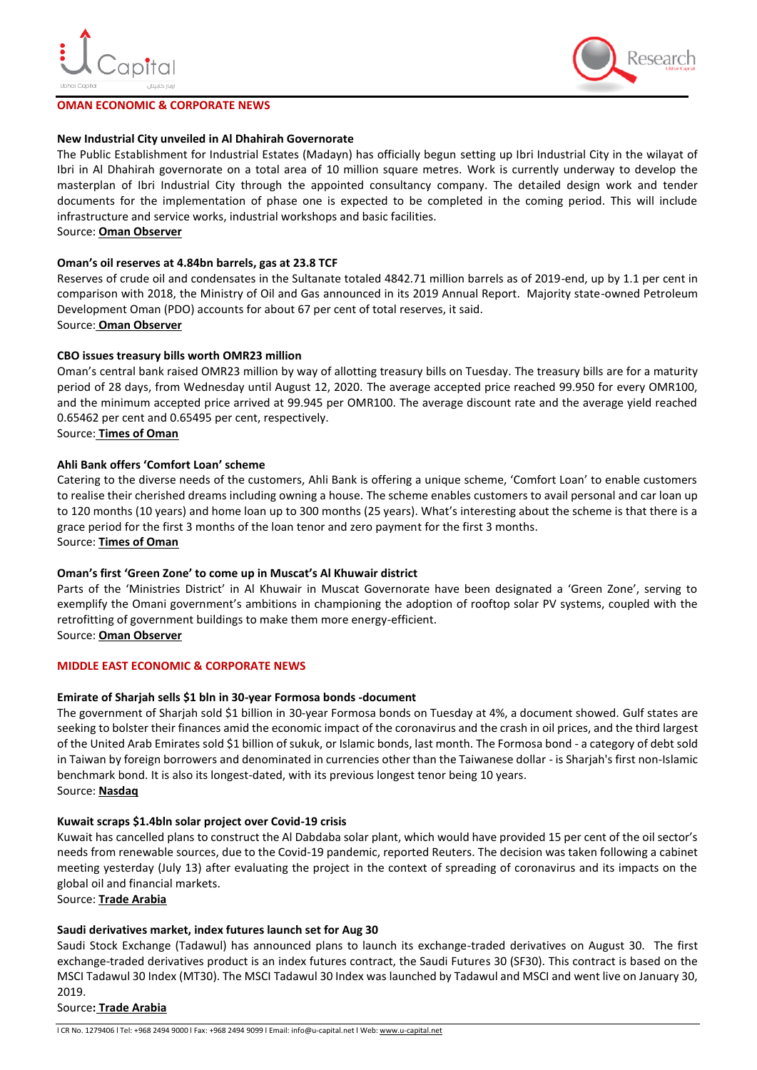

#### **OMAN ECONOMIC & CORPORATE NEWS**



#### **New Industrial City unveiled in Al Dhahirah Governorate**

The Public Establishment for Industrial Estates (Madayn) has officially begun setting up Ibri Industrial City in the wilayat of Ibri in Al Dhahirah governorate on a total area of 10 million square metres. Work is currently underway to develop the masterplan of Ibri Industrial City through the appointed consultancy company. The detailed design work and tender documents for the implementation of phase one is expected to be completed in the coming period. This will include infrastructure and service works, industrial workshops and basic facilities.

Source: **[Oman Observer](https://www.omanobserver.om/new-industrial-city-unveiled-in-al-dhahirah-governorate/)**

### **Oman's oil reserves at 4.84bn barrels, gas at 23.8 TCF**

Reserves of crude oil and condensates in the Sultanate totaled 4842.71 million barrels as of 2019-end, up by 1.1 per cent in comparison with 2018, the Ministry of Oil and Gas announced in its 2019 Annual Report. Majority state-owned Petroleum Development Oman (PDO) accounts for about 67 per cent of total reserves, it said.

Source: **[Oman Observer](https://www.omanobserver.om/omans-oil-reserves-at-4-84bn-barrels-gas-at-23-8-tcf/)**

#### **CBO issues treasury bills worth OMR23 million**

Oman's central bank raised OMR23 million by way of allotting treasury bills on Tuesday. The treasury bills are for a maturity period of 28 days, from Wednesday until August 12, 2020. The average accepted price reached 99.950 for every OMR100, and the minimum accepted price arrived at 99.945 per OMR100. The average discount rate and the average yield reached 0.65462 per cent and 0.65495 per cent, respectively.

Source: **[Times of Oman](https://timesofoman.com/article/3017051/business/cbo-issues-treasury-bills-worth-omr23-million)**

# **Ahli Bank offers 'Comfort Loan' scheme**

Catering to the diverse needs of the customers, Ahli Bank is offering a unique scheme, 'Comfort Loan' to enable customers to realise their cherished dreams including owning a house. The scheme enables customers to avail personal and car loan up to 120 months (10 years) and home loan up to 300 months (25 years). What's interesting about the scheme is that there is a grace period for the first 3 months of the loan tenor and zero payment for the first 3 months. Source: **[Times of Oman](https://timesofoman.com/article/3017054/business/banking/ahli-bank-offers-comfort-loan-scheme)**

#### **Oman's first 'Green Zone' to come up in Muscat's Al Khuwair district**

Parts of the 'Ministries District' in Al Khuwair in Muscat Governorate have been designated a 'Green Zone', serving to exemplify the Omani government's ambitions in championing the adoption of rooftop solar PV systems, coupled with the retrofitting of government buildings to make them more energy-efficient.

Source: **[Oman Observer](https://www.omanobserver.om/omans-first-green-zone-to-come-up-in-muscats-al-khuwair-district/)**

# **MIDDLE EAST ECONOMIC & CORPORATE NEWS**

#### **Emirate of Sharjah sells \$1 bln in 30-year Formosa bonds -document**

The government of Sharjah sold \$1 billion in 30-year Formosa bonds on Tuesday at 4%, a document showed. Gulf states are seeking to bolster their finances amid the economic impact of the coronavirus and the crash in oil prices, and the third largest of the United Arab Emirates sold \$1 billion of sukuk, or Islamic bonds, last month. The Formosa bond - a category of debt sold in Taiwan by foreign borrowers and denominated in currencies other than the Taiwanese dollar - is Shariah's first non-Islamic benchmark bond. It is also its longest-dated, with its previous longest tenor being 10 years. Source: **[Nasdaq](https://www.nasdaq.com/articles/emirate-of-sharjah-sells-%241-bln-in-30-year-formosa-bonds-document-2020-07-14)**

#### **Kuwait scraps \$1.4bln solar project over Covid-19 crisis**

Kuwait has cancelled plans to construct the Al Dabdaba solar plant, which would have provided 15 per cent of the oil sector's needs from renewable sources, due to the Covid-19 pandemic, reported Reuters. The decision was taken following a cabinet meeting yesterday (July 13) after evaluating the project in the context of spreading of coronavirus and its impacts on the global oil and financial markets.

Source: **[Trade Arabia](http://www.tradearabia.com/news/CONS_370347.html)**

#### **Saudi derivatives market, index futures launch set for Aug 30**

Saudi Stock Exchange (Tadawul) has announced plans to launch its exchange-traded derivatives on August 30. The first exchange-traded derivatives product is an index futures contract, the Saudi Futures 30 (SF30). This contract is based on the MSCI Tadawul 30 Index (MT30). The MSCI Tadawul 30 Index was launched by Tadawul and MSCI and went live on January 30, 2019.

#### Source**: [Trade Arabia](http://www.tradearabia.com/news/BANK_370307.html)**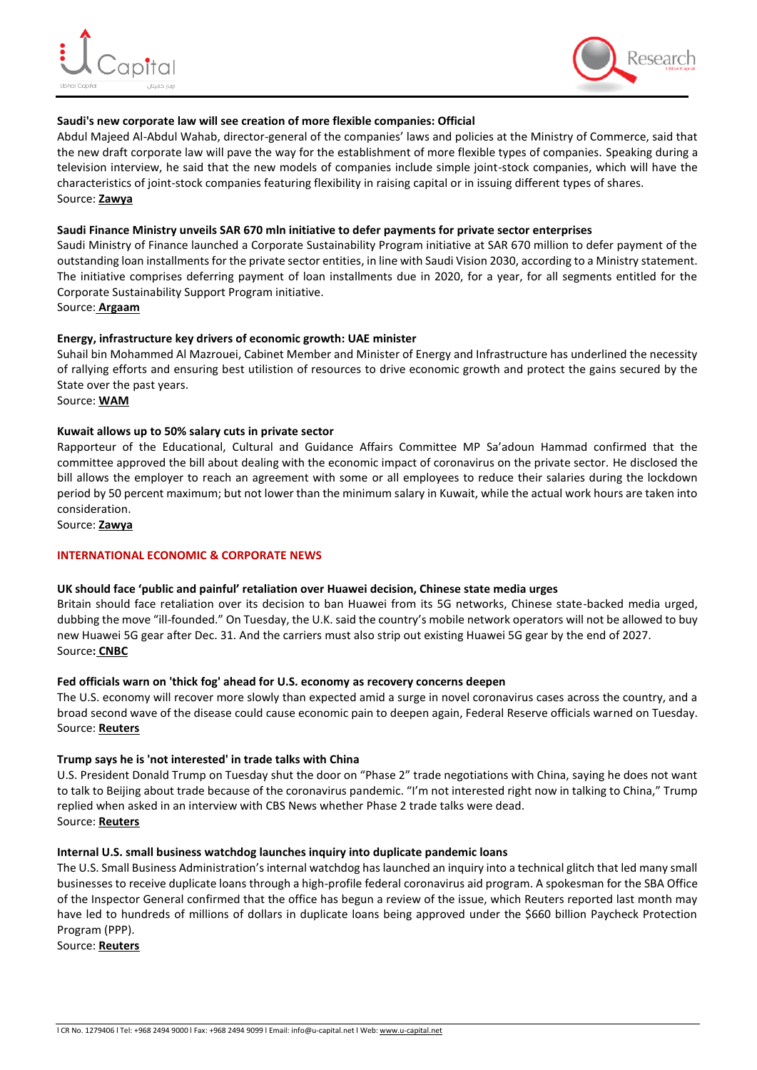



# **Saudi's new corporate law will see creation of more flexible companies: Official**

Abdul Majeed Al-Abdul Wahab, director-general of the companies' laws and policies at the Ministry of Commerce, said that the new draft corporate law will pave the way for the establishment of more flexible types of companies. Speaking during a television interview, he said that the new models of companies include simple joint-stock companies, which will have the characteristics of joint-stock companies featuring flexibility in raising capital or in issuing different types of shares. Source: **[Zawya](https://www.zawya.com/mena/en/legal/story/Saudis_new_corporate_law_will_see_creation_of_more_flexible_companies_Official-SNG_179569920/)**

# **Saudi Finance Ministry unveils SAR 670 mln initiative to defer payments for private sector enterprises**

Saudi Ministry of Finance launched a Corporate Sustainability Program initiative at SAR 670 million to defer payment of the outstanding loan installments for the private sector entities, in line with Saudi Vision 2030, according to a Ministry statement. The initiative comprises deferring payment of loan installments due in 2020, for a year, for all segments entitled for the Corporate Sustainability Support Program initiative.

Source: **[Argaam](https://www.argaam.com/en/article/articledetail/id/1390947)**

# **Energy, infrastructure key drivers of economic growth: UAE minister**

Suhail bin Mohammed Al Mazrouei, Cabinet Member and Minister of Energy and Infrastructure has underlined the necessity of rallying efforts and ensuring best utilistion of resources to drive economic growth and protect the gains secured by the State over the past years.

Source: **[WAM](http://wam.ae/en/details/1395302855096)**

# **Kuwait allows up to 50% salary cuts in private sector**

Rapporteur of the Educational, Cultural and Guidance Affairs Committee MP Sa'adoun Hammad confirmed that the committee approved the bill about dealing with the economic impact of coronavirus on the private sector. He disclosed the bill allows the employer to reach an agreement with some or all employees to reduce their salaries during the lockdown period by 50 percent maximum; but not lower than the minimum salary in Kuwait, while the actual work hours are taken into consideration.

Source: **[Zawya](https://www.zawya.com/mena/en/legal/story/Kuwait_allows_up_to_50_salary_cuts_in_private_sector-SNG_179487250/)**

# **INTERNATIONAL ECONOMIC & CORPORATE NEWS**

# **UK should face 'public and painful' retaliation over Huawei decision, Chinese state media urges**

Britain should face retaliation over its decision to ban Huawei from its 5G networks, Chinese state-backed media urged, dubbing the move "ill-founded." On Tuesday, the U.K. said the country's mobile network operators will not be allowed to buy new Huawei 5G gear after Dec. 31. And the carriers must also strip out existing Huawei 5G gear by the end of 2027. Source**: [CNBC](https://www.cnbc.com/2020/07/15/huawei-uk-ban-china-state-media-urges-retaliation-against-britain.html)**

# **Fed officials warn on 'thick fog' ahead for U.S. economy as recovery concerns deepen**

The U.S. economy will recover more slowly than expected amid a surge in novel coronavirus cases across the country, and a broad second wave of the disease could cause economic pain to deepen again, Federal Reserve officials warned on Tuesday. Source: **[Reuters](https://www.reuters.com/article/us-usa-fed/fed-officials-warn-on-thick-fog-ahead-for-u-s-economy-as-recovery-concerns-deepen-idUSKCN24F2LC)**

# **Trump says he is 'not interested' in trade talks with China**

U.S. President Donald Trump on Tuesday shut the door on "Phase 2" trade negotiations with China, saying he does not want to talk to Beijing about trade because of the coronavirus pandemic. "I'm not interested right now in talking to China," Trump replied when asked in an interview with CBS News whether Phase 2 trade talks were dead. Source: **[Reuters](https://www.reuters.com/article/us-usa-trade-china-trump/trump-says-he-is-not-interested-in-trade-talks-with-china-idUSKCN24F2Q4)**

# **Internal U.S. small business watchdog launches inquiry into duplicate pandemic loans**

The U.S. Small Business Administration's internal watchdog has launched an inquiry into a technical glitch that led many small businesses to receive duplicate loans through a high-profile federal coronavirus aid program. A spokesman for the SBA Office of the Inspector General confirmed that the office has begun a review of the issue, which Reuters reported last month may have led to hundreds of millions of dollars in duplicate loans being approved under the \$660 billion Paycheck Protection Program (PPP).

Source: **[Reuters](https://www.reuters.com/article/us-health-coronavirus-usa-ppp/internal-u-s-small-business-watchdog-launches-inquiry-into-duplicate-pandemic-loans-idUSKCN24F2WG)**